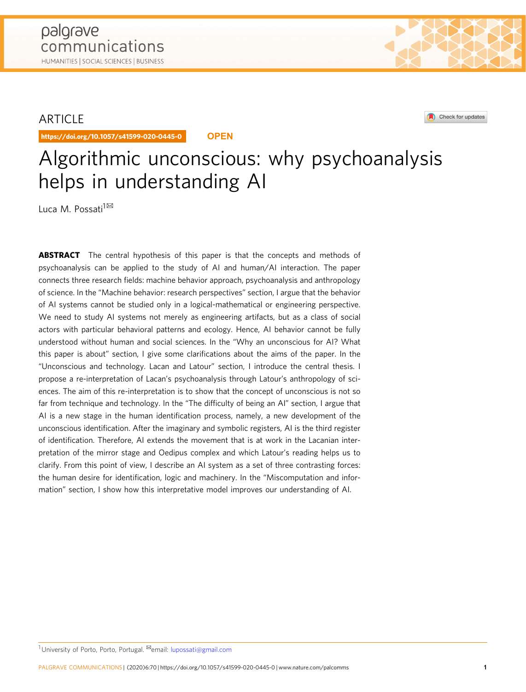# ARTICLE

https://doi.org/10.1057/s41599-020-0445-0 **OPEN**

# Algorithmic unconscious: why psychoanalysis helps in understanding AI

Luca M. Possati<sup>1⊠</sup>

**ABSTRACT** The central hypothesis of this paper is that the concepts and methods of psychoanalysis can be applied to the study of AI and human/AI interaction. The paper connects three research fields: machine behavior approach, psychoanalysis and anthropology of science. In the "Machine behavior: research perspectives" section, I argue that the behavior of AI systems cannot be studied only in a logical-mathematical or engineering perspective. We need to study AI systems not merely as engineering artifacts, but as a class of social actors with particular behavioral patterns and ecology. Hence, AI behavior cannot be fully understood without human and social sciences. In the "Why an unconscious for AI? What this paper is about" section, I give some clarifications about the aims of the paper. In the "Unconscious and technology. Lacan and Latour" section, I introduce the central thesis. I propose a re-interpretation of Lacan's psychoanalysis through Latour's anthropology of sciences. The aim of this re-interpretation is to show that the concept of unconscious is not so far from technique and technology. In the "The difficulty of being an AI" section, I argue that AI is a new stage in the human identification process, namely, a new development of the unconscious identification. After the imaginary and symbolic registers, AI is the third register of identification. Therefore, AI extends the movement that is at work in the Lacanian interpretation of the mirror stage and Oedipus complex and which Latour's reading helps us to clarify. From this point of view, I describe an AI system as a set of three contrasting forces: the human desire for identification, logic and machinery. In the "Miscomputation and information" section, I show how this interpretative model improves our understanding of AI.

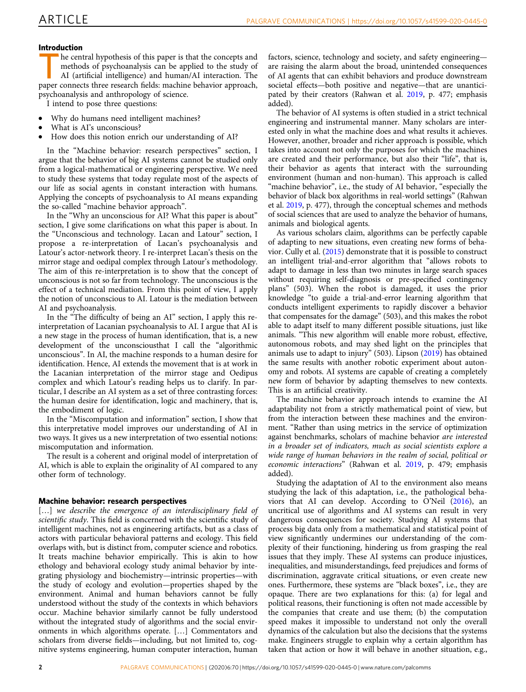# Introduction

he central hypothesis of this paper is that the concepts and methods of psychoanalysis can be applied to the study of AI (artificial intelligence) and human/AI interaction. The paper connects three research fields: machine behavior approach, psychoanalysis and anthropology of science.

I intend to pose three questions:

- Why do humans need intelligent machines?
- What is AI's unconscious?
- How does this notion enrich our understanding of AI?

In the "Machine behavior: research perspectives" section, I argue that the behavior of big AI systems cannot be studied only from a logical-mathematical or engineering perspective. We need to study these systems that today regulate most of the aspects of our life as social agents in constant interaction with humans. Applying the concepts of psychoanalysis to AI means expanding the so-called "machine behavior approach".

In the "Why an unconscious for AI? What this paper is about" section, I give some clarifications on what this paper is about. In the "Unconscious and technology. Lacan and Latour" section, I propose a re-interpretation of Lacan's psychoanalysis and Latour's actor-network theory. I re-interpret Lacan's thesis on the mirror stage and oedipal complex through Latour's methodology. The aim of this re-interpretation is to show that the concept of unconscious is not so far from technology. The unconscious is the effect of a technical mediation. From this point of view, I apply the notion of unconscious to AI. Latour is the mediation between AI and psychoanalysis.

In the "The difficulty of being an AI" section, I apply this reinterpretation of Lacanian psychoanalysis to AI. I argue that AI is a new stage in the process of human identification, that is, a new development of the unconsciousthat I call the "algorithmic unconscious". In AI, the machine responds to a human desire for identification. Hence, AI extends the movement that is at work in the Lacanian interpretation of the mirror stage and Oedipus complex and which Latour's reading helps us to clarify. In particular, I describe an AI system as a set of three contrasting forces: the human desire for identification, logic and machinery, that is, the embodiment of logic.

In the "Miscomputation and information" section, I show that this interpretative model improves our understanding of AI in two ways. It gives us a new interpretation of two essential notions: miscomputation and information.

The result is a coherent and original model of interpretation of AI, which is able to explain the originality of AI compared to any other form of technology.

# Machine behavior: research perspectives

[...] we describe the emergence of an interdisciplinary field of scientific study. This field is concerned with the scientific study of intelligent machines, not as engineering artifacts, but as a class of actors with particular behavioral patterns and ecology. This field overlaps with, but is distinct from, computer science and robotics. It treats machine behavior empirically. This is akin to how ethology and behavioral ecology study animal behavior by integrating physiology and biochemistry—intrinsic properties—with the study of ecology and evolution—properties shaped by the environment. Animal and human behaviors cannot be fully understood without the study of the contexts in which behaviors occur. Machine behavior similarly cannot be fully understood without the integrated study of algorithms and the social environments in which algorithms operate. […] Commentators and scholars from diverse fields—including, but not limited to, cognitive systems engineering, human computer interaction, human

factors, science, technology and society, and safety engineering are raising the alarm about the broad, unintended consequences of AI agents that can exhibit behaviors and produce downstream societal effects—both positive and negative—that are unanticipated by their creators (Rahwan et al. [2019,](#page-12-0) p. 477; emphasis added).

The behavior of AI systems is often studied in a strict technical engineering and instrumental manner. Many scholars are interested only in what the machine does and what results it achieves. However, another, broader and richer approach is possible, which takes into account not only the purposes for which the machines are created and their performance, but also their "life", that is, their behavior as agents that interact with the surrounding environment (human and non-human). This approach is called "machine behavior", i.e., the study of AI behavior, "especially the behavior of black box algorithms in real-world settings" (Rahwan et al. [2019](#page-12-0), p. 477), through the conceptual schemes and methods of social sciences that are used to analyze the behavior of humans, animals and biological agents.

As various scholars claim, algorithms can be perfectly capable of adapting to new situations, even creating new forms of behavior. Cully et al. [\(2015\)](#page-11-0) demonstrate that it is possible to construct an intelligent trial-and-error algorithm that "allows robots to adapt to damage in less than two minutes in large search spaces without requiring self-diagnosis or pre-specified contingency plans" (503). When the robot is damaged, it uses the prior knowledge "to guide a trial-and-error learning algorithm that conducts intelligent experiments to rapidly discover a behavior that compensates for the damage" (503), and this makes the robot able to adapt itself to many different possible situations, just like animals. "This new algorithm will enable more robust, effective, autonomous robots, and may shed light on the principles that animals use to adapt to injury" (503). Lipson ([2019\)](#page-12-0) has obtained the same results with another robotic experiment about autonomy and robots. AI systems are capable of creating a completely new form of behavior by adapting themselves to new contexts. This is an artificial creativity.

The machine behavior approach intends to examine the AI adaptability not from a strictly mathematical point of view, but from the interaction between these machines and the environment. "Rather than using metrics in the service of optimization against benchmarks, scholars of machine behavior are interested in a broader set of indicators, much as social scientists explore a wide range of human behaviors in the realm of social, political or economic interactions" (Rahwan et al. [2019](#page-12-0), p. 479; emphasis added).

Studying the adaptation of AI to the environment also means studying the lack of this adaptation, i.e., the pathological behaviors that AI can develop. According to O'Neil [\(2016](#page-12-0)), an uncritical use of algorithms and AI systems can result in very dangerous consequences for society. Studying AI systems that process big data only from a mathematical and statistical point of view significantly undermines our understanding of the complexity of their functioning, hindering us from grasping the real issues that they imply. These AI systems can produce injustices, inequalities, and misunderstandings, feed prejudices and forms of discrimination, aggravate critical situations, or even create new ones. Furthermore, these systems are "black boxes", i.e., they are opaque. There are two explanations for this: (a) for legal and political reasons, their functioning is often not made accessible by the companies that create and use them; (b) the computation speed makes it impossible to understand not only the overall dynamics of the calculation but also the decisions that the systems make. Engineers struggle to explain why a certain algorithm has taken that action or how it will behave in another situation, e.g.,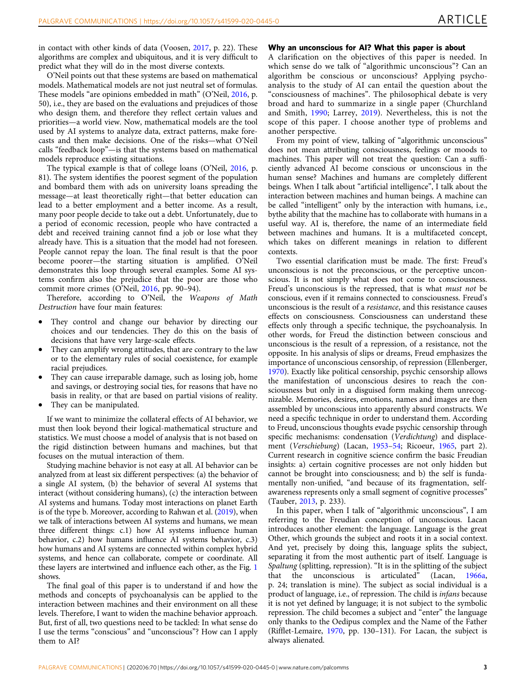in contact with other kinds of data (Voosen, [2017,](#page-12-0) p. 22). These algorithms are complex and ubiquitous, and it is very difficult to predict what they will do in the most diverse contexts.

O'Neil points out that these systems are based on mathematical models. Mathematical models are not just neutral set of formulas. These models "are opinions embedded in math" (O'Neil, [2016](#page-12-0), p. 50), i.e., they are based on the evaluations and prejudices of those who design them, and therefore they reflect certain values and priorities—a world view. Now, mathematical models are the tool used by AI systems to analyze data, extract patterns, make forecasts and then make decisions. One of the risks—what O'Neil calls "feedback loop"—is that the systems based on mathematical models reproduce existing situations.

The typical example is that of college loans (O'Neil, [2016,](#page-12-0) p. 81). The system identifies the poorest segment of the population and bombard them with ads on university loans spreading the message—at least theoretically right—that better education can lead to a better employment and a better income. As a result, many poor people decide to take out a debt. Unfortunately, due to a period of economic recession, people who have contracted a debt and received training cannot find a job or lose what they already have. This is a situation that the model had not foreseen. People cannot repay the loan. The final result is that the poor become poorer—the starting situation is amplified. O'Neil demonstrates this loop through several examples. Some AI systems confirm also the prejudice that the poor are those who commit more crimes (O'Neil, [2016,](#page-12-0) pp. 90–94).

Therefore, according to O'Neil, the Weapons of Math Destruction have four main features:

- They control and change our behavior by directing our choices and our tendencies. They do this on the basis of decisions that have very large-scale effects.
- They can amplify wrong attitudes, that are contrary to the law or to the elementary rules of social coexistence, for example racial prejudices.
- They can cause irreparable damage, such as losing job, home and savings, or destroying social ties, for reasons that have no basis in reality, or that are based on partial visions of reality.
- They can be manipulated.

If we want to minimize the collateral effects of AI behavior, we must then look beyond their logical-mathematical structure and statistics. We must choose a model of analysis that is not based on the rigid distinction between humans and machines, but that focuses on the mutual interaction of them.

Studying machine behavior is not easy at all. AI behavior can be analyzed from at least six different perspectives: (a) the behavior of a single AI system, (b) the behavior of several AI systems that interact (without considering humans), (c) the interaction between AI systems and humans. Today most interactions on planet Earth is of the type b. Moreover, according to Rahwan et al. [\(2019\)](#page-12-0), when we talk of interactions between AI systems and humans, we mean three different things: c.1) how AI systems influence human behavior, c.2) how humans influence AI systems behavior, c.3) how humans and AI systems are connected within complex hybrid systems, and hence can collaborate, compete or coordinate. All these layers are intertwined and influence each other, as the Fig. [1](#page-3-0) shows.

The final goal of this paper is to understand if and how the methods and concepts of psychoanalysis can be applied to the interaction between machines and their environment on all these levels. Therefore, I want to widen the machine behavior approach. But, first of all, two questions need to be tackled: In what sense do I use the terms "conscious" and "unconscious"? How can I apply them to AI?

# Why an unconscious for AI? What this paper is about

A clarification on the objectives of this paper is needed. In which sense do we talk of "algorithmic unconscious"? Can an algorithm be conscious or unconscious? Applying psychoanalysis to the study of AI can entail the question about the "consciousness of machines". The philosophical debate is very broad and hard to summarize in a single paper (Churchland and Smith, [1990;](#page-11-0) Larrey, [2019\)](#page-12-0). Nevertheless, this is not the scope of this paper. I choose another type of problems and another perspective.

From my point of view, talking of "algorithmic unconscious" does not mean attributing consciousness, feelings or moods to machines. This paper will not treat the question: Can a sufficiently advanced AI become conscious or unconscious in the human sense? Machines and humans are completely different beings. When I talk about "artificial intelligence", I talk about the interaction between machines and human beings. A machine can be called "intelligent" only by the interaction with humans, i.e., bythe ability that the machine has to collaborate with humans in a useful way. AI is, therefore, the name of an intermediate field between machines and humans. It is a multifaceted concept, which takes on different meanings in relation to different contexts.

Two essential clarification must be made. The first: Freud's unconscious is not the preconscious, or the perceptive unconscious. It is not simply what does not come to consciousness. Freud's unconscious is the repressed, that is what must not be conscious, even if it remains connected to consciousness. Freud's unconscious is the result of a resistance, and this resistance causes effects on consciousness. Consciousness can understand these effects only through a specific technique, the psychoanalysis. In other words, for Freud the distinction between conscious and unconscious is the result of a repression, of a resistance, not the opposite. In his analysis of slips or dreams, Freud emphasizes the importance of unconscious censorship, of repression (Ellenberger, [1970\)](#page-11-0). Exactly like political censorship, psychic censorship allows the manifestation of unconscious desires to reach the consciousness but only in a disguised form making them unrecognizable. Memories, desires, emotions, names and images are then assembled by unconscious into apparently absurd constructs. We need a specific technique in order to understand them. According to Freud, unconscious thoughts evade psychic censorship through specific mechanisms: condensation (Verdichtung) and displacement (Verschiebung) (Lacan, [1953](#page-12-0)–[54;](#page-12-0) Ricoeur, [1965,](#page-12-0) part 2). Current research in cognitive science confirm the basic Freudian insights: a) certain cognitive processes are not only hidden but cannot be brought into consciousness; and b) the self is fundamentally non-unified, "and because of its fragmentation, selfawareness represents only a small segment of cognitive processes" (Tauber, [2013](#page-12-0), p. 233).

In this paper, when I talk of "algorithmic unconscious", I am referring to the Freudian conception of unconscious. Lacan introduces another element: the language. Language is the great Other, which grounds the subject and roots it in a social context. And yet, precisely by doing this, language splits the subject, separating it from the most authentic part of itself. Language is Spaltung (splitting, repression). "It is in the splitting of the subject that the unconscious is articulated" (Lacan, [1966a,](#page-12-0) p. 24; translation is mine). The subject as social individual is a product of language, i.e., of repression. The child is infans because it is not yet defined by language; it is not subject to the symbolic repression. The child becomes a subject and "enter" the language only thanks to the Oedipus complex and the Name of the Father (Rifflet-Lemaire, [1970](#page-12-0), pp. 130–131). For Lacan, the subject is always alienated.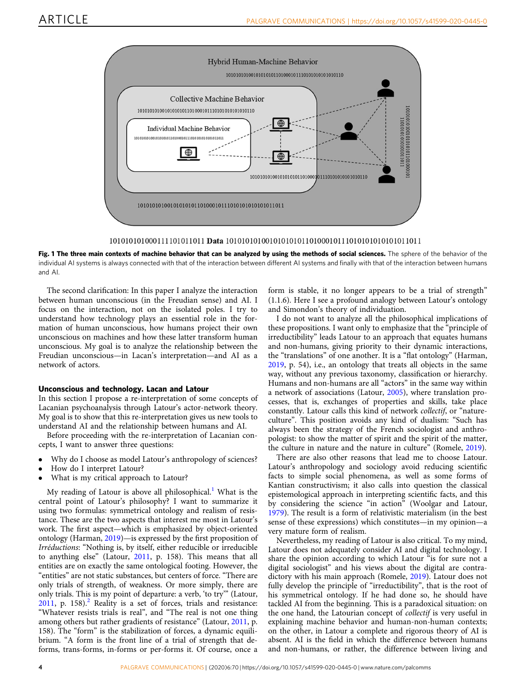<span id="page-3-0"></span>

Fig. 1 The three main contexts of machine behavior that can be analyzed by using the methods of social sciences. The sphere of the behavior of the individual AI systems is always connected with that of the interaction between different AI systems and finally with that of the interaction between humans and AI.

The second clarification: In this paper I analyze the interaction between human unconscious (in the Freudian sense) and AI. I focus on the interaction, not on the isolated poles. I try to understand how technology plays an essential role in the formation of human unconscious, how humans project their own unconscious on machines and how these latter transform human unconscious. My goal is to analyze the relationship between the Freudian unconscious—in Lacan's interpretation—and AI as a network of actors.

# Unconscious and technology. Lacan and Latour

In this section I propose a re-interpretation of some concepts of Lacanian psychoanalysis through Latour's actor-network theory. My goal is to show that this re-interpretation gives us new tools to understand AI and the relationship between humans and AI.

Before proceeding with the re-interpretation of Lacanian concepts, I want to answer three questions:

- Why do I choose as model Latour's anthropology of sciences?
- How do I interpret Latour?
- What is my critical approach to Latour?

My reading of Latour is above all philosophical.<sup>[1](#page-11-0)</sup> What is the central point of Latour's philosophy? I want to summarize it using two formulas: symmetrical ontology and realism of resistance. These are the two aspects that interest me most in Latour's work. The first aspect—which is emphasized by object-oriented ontology (Harman, [2019\)](#page-12-0)—is expressed by the first proposition of Irréductions: "Nothing is, by itself, either reducible or irreducible to anything else" (Latour, [2011,](#page-12-0) p. 158). This means that all entities are on exactly the same ontological footing. However, the "entities" are not static substances, but centers of force. "There are only trials of strength, of weakness. Or more simply, there are only trials. This is my point of departure: a verb, 'to try'" (Latour,  $2011$  $2011$ , p. 158).<sup>2</sup> Reality is a set of forces, trials and resistance: "Whatever resists trials is real", and "The real is not one thing among others but rather gradients of resistance" (Latour, [2011](#page-12-0), p. 158). The "form" is the stabilization of forces, a dynamic equilibrium. "A form is the front line of a trial of strength that deforms, trans-forms, in-forms or per-forms it. Of course, once a

form is stable, it no longer appears to be a trial of strength" (1.1.6). Here I see a profound analogy between Latour's ontology and Simondon's theory of individuation.

I do not want to analyze all the philosophical implications of these propositions. I want only to emphasize that the "principle of irreductibility" leads Latour to an approach that equates humans and non-humans, giving priority to their dynamic interactions, the "translations" of one another. It is a "flat ontology" (Harman, [2019,](#page-12-0) p. 54), i.e., an ontology that treats all objects in the same way, without any previous taxonomy, classification or hierarchy. Humans and non-humans are all "actors" in the same way within a network of associations (Latour, [2005](#page-12-0)), where translation processes, that is, exchanges of properties and skills, take place constantly. Latour calls this kind of network collectif, or "natureculture". This position avoids any kind of dualism: "Such has always been the strategy of the French sociologist and anthropologist: to show the matter of spirit and the spirit of the matter, the culture in nature and the nature in culture" (Romele, [2019\)](#page-12-0).

There are also other reasons that lead me to choose Latour. Latour's anthropology and sociology avoid reducing scientific facts to simple social phenomena, as well as some forms of Kantian constructivism; it also calls into question the classical epistemological approach in interpreting scientific facts, and this by considering the science "in action" (Woolgar and Latour, [1979\)](#page-12-0). The result is a form of relativistic materialism (in the best sense of these expressions) which constitutes—in my opinion—a very mature form of realism.

Nevertheless, my reading of Latour is also critical. To my mind, Latour does not adequately consider AI and digital technology. I share the opinion according to which Latour "is for sure not a digital sociologist" and his views about the digital are contradictory with his main approach (Romele, [2019\)](#page-12-0). Latour does not fully develop the principle of "irreductibility", that is the root of his symmetrical ontology. If he had done so, he should have tackled AI from the beginning. This is a paradoxical situation: on the one hand, the Latourian concept of collectif is very useful in explaining machine behavior and human-non-human contexts; on the other, in Latour a complete and rigorous theory of AI is absent. AI is the field in which the difference between humans and non-humans, or rather, the difference between living and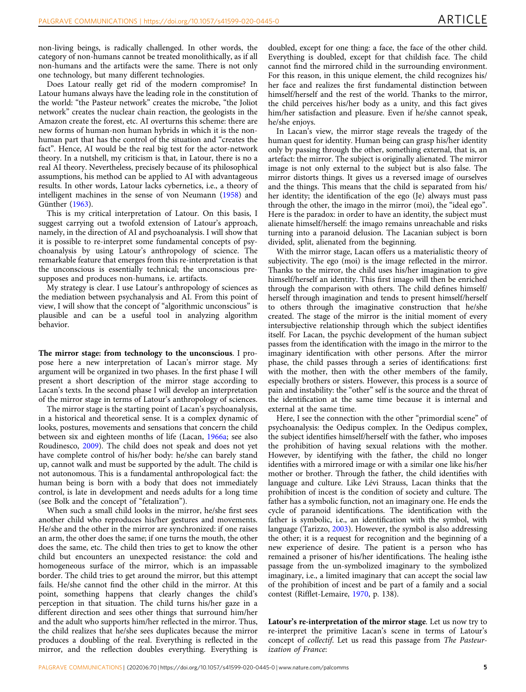non-living beings, is radically challenged. In other words, the category of non-humans cannot be treated monolithically, as if all non-humans and the artifacts were the same. There is not only one technology, but many different technologies.

Does Latour really get rid of the modern compromise? In Latour humans always have the leading role in the constitution of the world: "the Pasteur network" creates the microbe, "the Joliot network" creates the nuclear chain reaction, the geologists in the Amazon create the forest, etc. AI overturns this scheme: there are new forms of human-non human hybrids in which it is the nonhuman part that has the control of the situation and "creates the fact". Hence, AI would be the real big test for the actor-network theory. In a nutshell, my criticism is that, in Latour, there is no a real AI theory. Nevertheless, precisely because of its philosophical assumptions, his method can be applied to AI with advantageous results. In other words, Latour lacks cybernetics, i.e., a theory of intelligent machines in the sense of von Neumann [\(1958](#page-12-0)) and Günther ([1963](#page-12-0)).

This is my critical interpretation of Latour. On this basis, I suggest carrying out a twofold extension of Latour's approach, namely, in the direction of AI and psychoanalysis. I will show that it is possible to re-interpret some fundamental concepts of psychoanalysis by using Latour's anthropology of science. The remarkable feature that emerges from this re-interpretation is that the unconscious is essentially technical; the unconscious presupposes and produces non-humans, i.e. artifacts.

My strategy is clear. I use Latour's anthropology of sciences as the mediation between psychanalysis and AI. From this point of view, I will show that the concept of "algorithmic unconscious" is plausible and can be a useful tool in analyzing algorithm behavior.

The mirror stage: from technology to the unconscious. I propose here a new interpretation of Lacan's mirror stage. My argument will be organized in two phases. In the first phase I will present a short description of the mirror stage according to Lacan's texts. In the second phase I will develop an interpretation of the mirror stage in terms of Latour's anthropology of sciences.

The mirror stage is the starting point of Lacan's psychoanalysis, in a historical and theoretical sense. It is a complex dynamic of looks, postures, movements and sensations that concern the child between six and eighteen months of life (Lacan, [1966a;](#page-12-0) see also Roudinesco, [2009\)](#page-12-0). The child does not speak and does not yet have complete control of his/her body: he/she can barely stand up, cannot walk and must be supported by the adult. The child is not autonomous. This is a fundamental anthropological fact: the human being is born with a body that does not immediately control, is late in development and needs adults for a long time (see Bolk and the concept of "fetalization").

When such a small child looks in the mirror, he/she first sees another child who reproduces his/her gestures and movements. He/she and the other in the mirror are synchronized: if one raises an arm, the other does the same; if one turns the mouth, the other does the same, etc. The child then tries to get to know the other child but encounters an unexpected resistance: the cold and homogeneous surface of the mirror, which is an impassable border. The child tries to get around the mirror, but this attempt fails. He/she cannot find the other child in the mirror. At this point, something happens that clearly changes the child's perception in that situation. The child turns his/her gaze in a different direction and sees other things that surround him/her and the adult who supports him/her reflected in the mirror. Thus, the child realizes that he/she sees duplicates because the mirror produces a doubling of the real. Everything is reflected in the mirror, and the reflection doubles everything. Everything is

doubled, except for one thing: a face, the face of the other child. Everything is doubled, except for that childish face. The child cannot find the mirrored child in the surrounding environment. For this reason, in this unique element, the child recognizes his/ her face and realizes the first fundamental distinction between himself/herself and the rest of the world. Thanks to the mirror, the child perceives his/her body as a unity, and this fact gives him/her satisfaction and pleasure. Even if he/she cannot speak, he/she enjoys.

In Lacan's view, the mirror stage reveals the tragedy of the human quest for identity. Human being can grasp his/her identity only by passing through the other, something external, that is, an artefact: the mirror. The subject is originally alienated. The mirror image is not only external to the subject but is also false. The mirror distorts things. It gives us a reversed image of ourselves and the things. This means that the child is separated from his/ her identity; the identification of the ego (Je) always must pass through the other, the imago in the mirror (moi), the "ideal ego". Here is the paradox: in order to have an identity, the subject must alienate himself/herself: the imago remains unreachable and risks turning into a paranoid delusion. The Lacanian subject is born divided, split, alienated from the beginning.

With the mirror stage, Lacan offers us a materialistic theory of subjectivity. The ego (moi) is the image reflected in the mirror. Thanks to the mirror, the child uses his/her imagination to give himself/herself an identity. This first imago will then be enriched through the comparison with others. The child defines himself/ herself through imagination and tends to present himself/herself to others through the imaginative construction that he/she created. The stage of the mirror is the initial moment of every intersubjective relationship through which the subject identifies itself. For Lacan, the psychic development of the human subject passes from the identification with the imago in the mirror to the imaginary identification with other persons. After the mirror phase, the child passes through a series of identifications: first with the mother, then with the other members of the family, especially brothers or sisters. However, this process is a source of pain and instability: the "other" self is the source and the threat of the identification at the same time because it is internal and external at the same time.

Here, I see the connection with the other "primordial scene" of psychoanalysis: the Oedipus complex. In the Oedipus complex, the subject identifies himself/herself with the father, who imposes the prohibition of having sexual relations with the mother. However, by identifying with the father, the child no longer identifies with a mirrored image or with a similar one like his/her mother or brother. Through the father, the child identifies with language and culture. Like Lévi Strauss, Lacan thinks that the prohibition of incest is the condition of society and culture. The father has a symbolic function, not an imaginary one. He ends the cycle of paranoid identifications. The identification with the father is symbolic, i.e., an identification with the symbol, with language (Tarizzo, [2003](#page-12-0)). However, the symbol is also addressing the other; it is a request for recognition and the beginning of a new experience of desire. The patient is a person who has remained a prisoner of his/her identifications. The healing isthe passage from the un-symbolized imaginary to the symbolized imaginary, i.e., a limited imaginary that can accept the social law of the prohibition of incest and be part of a family and a social contest (Rifflet-Lemaire, [1970](#page-12-0), p. 138).

Latour's re-interpretation of the mirror stage. Let us now try to re-interpret the primitive Lacan's scene in terms of Latour's concept of collectif. Let us read this passage from The Pasteurization of France: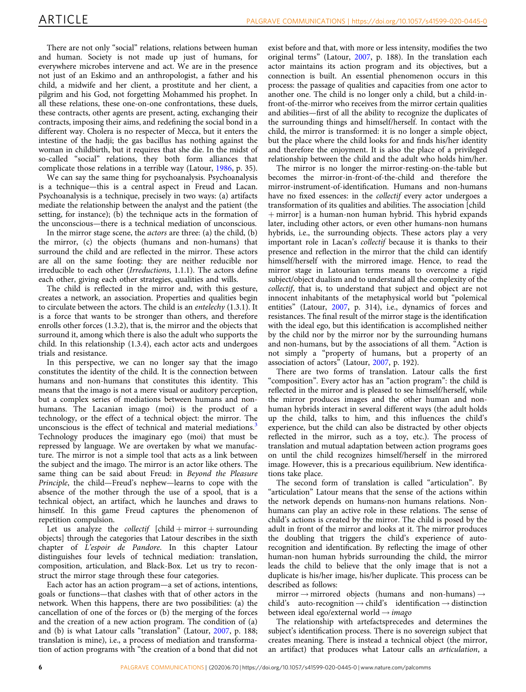There are not only "social" relations, relations between human and human. Society is not made up just of humans, for everywhere microbes intervene and act. We are in the presence not just of an Eskimo and an anthropologist, a father and his child, a midwife and her client, a prostitute and her client, a pilgrim and his God, not forgetting Mohammed his prophet. In all these relations, these one-on-one confrontations, these duels, these contracts, other agents are present, acting, exchanging their contracts, imposing their aims, and redefining the social bond in a different way. Cholera is no respecter of Mecca, but it enters the intestine of the hadji; the gas bacillus has nothing against the woman in childbirth, but it requires that she die. In the midst of so-called "social" relations, they both form alliances that complicate those relations in a terrible way (Latour, [1986](#page-12-0), p. 35).

We can say the same thing for psychoanalysis. Psychoanalysis is a technique—this is a central aspect in Freud and Lacan. Psychoanalysis is a technique, precisely in two ways: (a) artifacts mediate the relationship between the analyst and the patient (the setting, for instance); (b) the technique acts in the formation of the unconscious—there is a technical mediation of unconscious.

In the mirror stage scene, the actors are three: (a) the child, (b) the mirror, (c) the objects (humans and non-humans) that surround the child and are reflected in the mirror. These actors are all on the same footing: they are neither reducible nor irreducible to each other (Irreductions, 1.1.1). The actors define each other, giving each other strategies, qualities and wills.

The child is reflected in the mirror and, with this gesture, creates a network, an association. Properties and qualities begin to circulate between the actors. The child is an entelechy (1.3.1). It is a force that wants to be stronger than others, and therefore enrolls other forces (1.3.2), that is, the mirror and the objects that surround it, among which there is also the adult who supports the child. In this relationship (1.3.4), each actor acts and undergoes trials and resistance.

In this perspective, we can no longer say that the imago constitutes the identity of the child. It is the connection between humans and non-humans that constitutes this identity. This means that the imago is not a mere visual or auditory perception, but a complex series of mediations between humans and nonhumans. The Lacanian imago (moi) is the product of a technology, or the effect of a technical object: the mirror. The unconscious is the effect of technical and material mediations.<sup>[3](#page-11-0)</sup> Technology produces the imaginary ego (moi) that must be repressed by language. We are overtaken by what we manufacture. The mirror is not a simple tool that acts as a link between the subject and the imago. The mirror is an actor like others. The same thing can be said about Freud: in Beyond the Pleasure Principle, the child—Freud's nephew—learns to cope with the absence of the mother through the use of a spool, that is a technical object, an artifact, which he launches and draws to himself. In this game Freud captures the phenomenon of repetition compulsion.

Let us analyze the *collectif*  $[child + mirror + surrounding$ objects] through the categories that Latour describes in the sixth chapter of L'espoir de Pandore. In this chapter Latour distinguishes four levels of technical mediation: translation, composition, articulation, and Black-Box. Let us try to reconstruct the mirror stage through these four categories.

Each actor has an action program—a set of actions, intentions, goals or functions—that clashes with that of other actors in the network. When this happens, there are two possibilities: (a) the cancellation of one of the forces or (b) the merging of the forces and the creation of a new action program. The condition of (a) and (b) is what Latour calls "translation" (Latour, [2007,](#page-12-0) p. 188; translation is mine), i.e., a process of mediation and transformation of action programs with "the creation of a bond that did not exist before and that, with more or less intensity, modifies the two original terms" (Latour, [2007,](#page-12-0) p. 188). In the translation each actor maintains its action program and its objectives, but a connection is built. An essential phenomenon occurs in this process: the passage of qualities and capacities from one actor to another one. The child is no longer only a child, but a child-infront-of-the-mirror who receives from the mirror certain qualities and abilities—first of all the ability to recognize the duplicates of the surrounding things and himself/herself. In contact with the child, the mirror is transformed: it is no longer a simple object, but the place where the child looks for and finds his/her identity and therefore the enjoyment. It is also the place of a privileged relationship between the child and the adult who holds him/her.

The mirror is no longer the mirror-resting-on-the-table but becomes the mirror-in-front-of-the-child and therefore the mirror-instrument-of-identification. Humans and non-humans have no fixed essences: in the collectif every actor undergoes a transformation of its qualities and abilities. The association [child + mirror] is a human-non human hybrid. This hybrid expands later, including other actors, or even other humans-non humans hybrids, i.e., the surrounding objects. These actors play a very important role in Lacan's collectif because it is thanks to their presence and reflection in the mirror that the child can identify himself/herself with the mirrored image. Hence, to read the mirror stage in Latourian terms means to overcome a rigid subject/object dualism and to understand all the complexity of the collectif, that is, to understand that subject and object are not innocent inhabitants of the metaphysical world but "polemical entities" (Latour, [2007,](#page-12-0) p. 314), i.e., dynamics of forces and resistances. The final result of the mirror stage is the identification with the ideal ego, but this identification is accomplished neither by the child nor by the mirror nor by the surrounding humans and non-humans, but by the associations of all them. "Action is not simply a "property of humans, but a property of an association of actors" (Latour, [2007](#page-12-0), p. 192).

There are two forms of translation. Latour calls the first "composition". Every actor has an "action program": the child is reflected in the mirror and is pleased to see himself/herself, while the mirror produces images and the other human and nonhuman hybrids interact in several different ways (the adult holds up the child, talks to him, and this influences the child's experience, but the child can also be distracted by other objects reflected in the mirror, such as a toy, etc.). The process of translation and mutual adaptation between action programs goes on until the child recognizes himself/herself in the mirrored image. However, this is a precarious equilibrium. New identifications take place.

The second form of translation is called "articulation". By "articulation" Latour means that the sense of the actions within the network depends on humans-non humans relations. Nonhumans can play an active role in these relations. The sense of child's actions is created by the mirror. The child is posed by the adult in front of the mirror and looks at it. The mirror produces the doubling that triggers the child's experience of autorecognition and identification. By reflecting the image of other human-non human hybrids surrounding the child, the mirror leads the child to believe that the only image that is not a duplicate is his/her image, his/her duplicate. This process can be described as follows:

mirror  $\rightarrow$  mirrored objects (humans and non-humans)  $\rightarrow$ child's auto-recognition  $\rightarrow$  child's identification  $\rightarrow$  distinction between ideal ego/external world  $\rightarrow$  imago

The relationship with artefactsprecedes and determines the subject's identification process. There is no sovereign subject that creates meaning. There is instead a technical object (the mirror, an artifact) that produces what Latour calls an articulation, a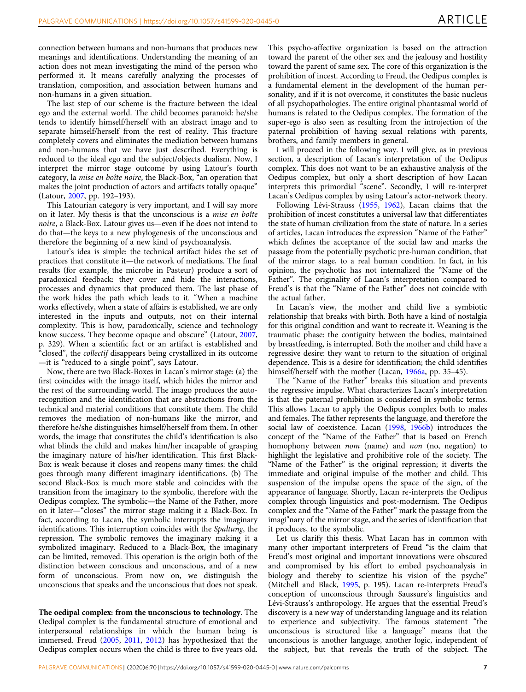connection between humans and non-humans that produces new meanings and identifications. Understanding the meaning of an action does not mean investigating the mind of the person who performed it. It means carefully analyzing the processes of translation, composition, and association between humans and non-humans in a given situation.

The last step of our scheme is the fracture between the ideal ego and the external world. The child becomes paranoid: he/she tends to identify himself/herself with an abstract imago and to separate himself/herself from the rest of reality. This fracture completely covers and eliminates the mediation between humans and non-humans that we have just described. Everything is reduced to the ideal ego and the subject/objects dualism. Now, I interpret the mirror stage outcome by using Latour's fourth category, la mise en boîte noire, the Black-Box, "an operation that makes the joint production of actors and artifacts totally opaque" (Latour, [2007](#page-12-0), pp. 192–193).

This Latourian category is very important, and I will say more on it later. My thesis is that the unconscious is a mise en boîte noire, a Black-Box. Latour gives us—even if he does not intend to do that—the keys to a new phylogenesis of the unconscious and therefore the beginning of a new kind of psychoanalysis.

Latour's idea is simple: the technical artifact hides the set of practices that constitute it—the network of mediations. The final results (for example, the microbe in Pasteur) produce a sort of paradoxical feedback: they cover and hide the interactions, processes and dynamics that produced them. The last phase of the work hides the path which leads to it. "When a machine works effectively, when a state of affairs is established, we are only interested in the inputs and outputs, not on their internal complexity. This is how, paradoxically, science and technology know success. They become opaque and obscure" (Latour, [2007,](#page-12-0) p. 329). When a scientific fact or an artifact is established and "closed", the collectif disappears being crystallized in its outcome —it is "reduced to a single point", says Latour.

Now, there are two Black-Boxes in Lacan's mirror stage: (a) the first coincides with the imago itself, which hides the mirror and the rest of the surrounding world. The imago produces the autorecognition and the identification that are abstractions from the technical and material conditions that constitute them. The child removes the mediation of non-humans like the mirror, and therefore he/she distinguishes himself/herself from them. In other words, the image that constitutes the child's identification is also what blinds the child and makes him/her incapable of grasping the imaginary nature of his/her identification. This first Black-Box is weak because it closes and reopens many times: the child goes through many different imaginary identifications. (b) The second Black-Box is much more stable and coincides with the transition from the imaginary to the symbolic, therefore with the Oedipus complex. The symbolic—the Name of the Father, more on it later—"closes" the mirror stage making it a Black-Box. In fact, according to Lacan, the symbolic interrupts the imaginary identifications. This interruption coincides with the Spaltung, the repression. The symbolic removes the imaginary making it a symbolized imaginary. Reduced to a Black-Box, the imaginary can be limited, removed. This operation is the origin both of the distinction between conscious and unconscious, and of a new form of unconscious. From now on, we distinguish the unconscious that speaks and the unconscious that does not speak.

The oedipal complex: from the unconscious to technology. The Oedipal complex is the fundamental structure of emotional and interpersonal relationships in which the human being is immersed. Freud ([2005,](#page-12-0) [2011](#page-12-0), [2012](#page-12-0)) has hypothesized that the Oedipus complex occurs when the child is three to five years old.

This psycho-affective organization is based on the attraction toward the parent of the other sex and the jealousy and hostility toward the parent of same sex. The core of this organization is the prohibition of incest. According to Freud, the Oedipus complex is a fundamental element in the development of the human personality, and if it is not overcome, it constitutes the basic nucleus of all psychopathologies. The entire original phantasmal world of humans is related to the Oedipus complex. The formation of the super-ego is also seen as resulting from the introjection of the paternal prohibition of having sexual relations with parents, brothers, and family members in general.

I will proceed in the following way. I will give, as in previous section, a description of Lacan's interpretation of the Oedipus complex. This does not want to be an exhaustive analysis of the Oedipus complex, but only a short description of how Lacan interprets this primordial "scene". Secondly, I will re-interpret Lacan's Oedipus complex by using Latour's actor-network theory.

Following Lévi-Strauss ([1955,](#page-12-0) [1962](#page-12-0)), Lacan claims that the prohibition of incest constitutes a universal law that differentiates the state of human civilization from the state of nature. In a series of articles, Lacan introduces the expression "Name of the Father" which defines the acceptance of the social law and marks the passage from the potentially psychotic pre-human condition, that of the mirror stage, to a real human condition. In fact, in his opinion, the psychotic has not internalized the "Name of the Father". The originality of Lacan's interpretation compared to Freud's is that the "Name of the Father" does not coincide with the actual father.

In Lacan's view, the mother and child live a symbiotic relationship that breaks with birth. Both have a kind of nostalgia for this original condition and want to recreate it. Weaning is the traumatic phase: the contiguity between the bodies, maintained by breastfeeding, is interrupted. Both the mother and child have a regressive desire: they want to return to the situation of original dependence. This is a desire for identification; the child identifies himself/herself with the mother (Lacan, [1966a](#page-12-0), pp. 35-45).

The "Name of the Father" breaks this situation and prevents the regressive impulse. What characterizes Lacan's interpretation is that the paternal prohibition is considered in symbolic terms. This allows Lacan to apply the Oedipus complex both to males and females. The father represents the language, and therefore the social law of coexistence. Lacan [\(1998,](#page-12-0) [1966b](#page-12-0)) introduces the concept of the "Name of the Father" that is based on French homophony between nom (name) and non (no, negation) to highlight the legislative and prohibitive role of the society. The "Name of the Father" is the original repression; it diverts the immediate and original impulse of the mother and child. This suspension of the impulse opens the space of the sign, of the appearance of language. Shortly, Lacan re-interprets the Oedipus complex through linguistics and post-modernism. The Oedipus complex and the "Name of the Father" mark the passage from the imagi"nary of the mirror stage, and the series of identification that it produces, to the symbolic.

Let us clarify this thesis. What Lacan has in common with many other important interpreters of Freud "is the claim that Freud's most original and important innovations were obscured and compromised by his effort to embed psychoanalysis in biology and thereby to scientize his vision of the psyche" (Mitchell and Black, [1995,](#page-12-0) p. 195). Lacan re-interprets Freud's conception of unconscious through Saussure's linguistics and Lévi-Strauss's anthropology. He argues that the essential Freud's discovery is a new way of understanding language and its relation to experience and subjectivity. The famous statement "the unconscious is structured like a language" means that the unconscious is another language, another logic, independent of the subject, but that reveals the truth of the subject. The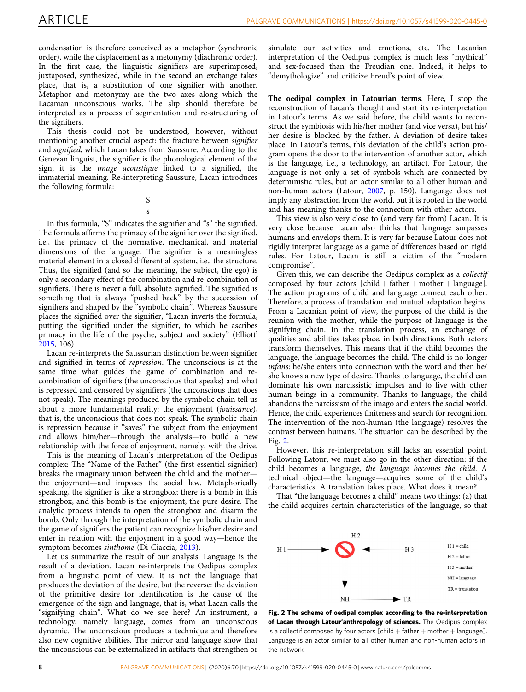condensation is therefore conceived as a metaphor (synchronic order), while the displacement as a metonymy (diachronic order). In the first case, the linguistic signifiers are superimposed, juxtaposed, synthesized, while in the second an exchange takes place, that is, a substitution of one signifier with another. Metaphor and metonymy are the two axes along which the Lacanian unconscious works. The slip should therefore be interpreted as a process of segmentation and re-structuring of the signifiers.

This thesis could not be understood, however, without mentioning another crucial aspect: the fracture between signifier and signified, which Lacan takes from Saussure. According to the Genevan linguist, the signifier is the phonological element of the sign; it is the image acoustique linked to a signified, the immaterial meaning. Re-interpreting Saussure, Lacan introduces the following formula:

> S s

In this formula, "S" indicates the signifier and "s" the signified. The formula affirms the primacy of the signifier over the signified, i.e., the primacy of the normative, mechanical, and material dimensions of the language. The signifier is a meaningless material element in a closed differential system, i.e., the structure. Thus, the signified (and so the meaning, the subject, the ego) is only a secondary effect of the combination and re-combination of signifiers. There is never a full, absolute signified. The signified is something that is always "pushed back" by the succession of signifiers and shaped by the "symbolic chain". Whereas Saussure places the signified over the signifier, "Lacan inverts the formula, putting the signified under the signifier, to which he ascribes primacy in the life of the psyche, subject and society" (Elliott' [2015,](#page-11-0) 106).

Lacan re-interprets the Saussurian distinction between signifier and signified in terms of repression. The unconscious is at the same time what guides the game of combination and recombination of signifiers (the unconscious that speaks) and what is repressed and censored by signifiers (the unconscious that does not speak). The meanings produced by the symbolic chain tell us about a more fundamental reality: the enjoyment (jouissance), that is, the unconscious that does not speak. The symbolic chain is repression because it "saves" the subject from the enjoyment and allows him/her—through the analysis—to build a new relationship with the force of enjoyment, namely, with the drive.

This is the meaning of Lacan's interpretation of the Oedipus complex: The "Name of the Father" (the first essential signifier) breaks the imaginary union between the child and the mother the enjoyment—and imposes the social law. Metaphorically speaking, the signifier is like a strongbox; there is a bomb in this strongbox, and this bomb is the enjoyment, the pure desire. The analytic process intends to open the strongbox and disarm the bomb. Only through the interpretation of the symbolic chain and the game of signifiers the patient can recognize his/her desire and enter in relation with the enjoyment in a good way—hence the symptom becomes sinthome (Di Ciaccia, [2013\)](#page-11-0).

Let us summarize the result of our analysis. Language is the result of a deviation. Lacan re-interprets the Oedipus complex from a linguistic point of view. It is not the language that produces the deviation of the desire, but the reverse: the deviation of the primitive desire for identification is the cause of the emergence of the sign and language, that is, what Lacan calls the "signifying chain". What do we see here? An instrument, a technology, namely language, comes from an unconscious dynamic. The unconscious produces a technique and therefore also new cognitive abilities. The mirror and language show that the unconscious can be externalized in artifacts that strengthen or

simulate our activities and emotions, etc. The Lacanian interpretation of the Oedipus complex is much less "mythical" and sex-focused than the Freudian one. Indeed, it helps to "demythologize" and criticize Freud's point of view.

The oedipal complex in Latourian terms. Here, I stop the reconstruction of Lacan's thought and start its re-interpretation in Latour's terms. As we said before, the child wants to reconstruct the symbiosis with his/her mother (and vice versa), but his/ her desire is blocked by the father. A deviation of desire takes place. In Latour's terms, this deviation of the child's action program opens the door to the intervention of another actor, which is the language, i.e., a technology, an artifact. For Latour, the language is not only a set of symbols which are connected by deterministic rules, but an actor similar to all other human and non-human actors (Latour, [2007](#page-12-0), p. 150). Language does not imply any abstraction from the world, but it is rooted in the world and has meaning thanks to the connection with other actors.

This view is also very close to (and very far from) Lacan. It is very close because Lacan also thinks that language surpasses humans and envelops them. It is very far because Latour does not rigidly interpret language as a game of differences based on rigid rules. For Latour, Lacan is still a victim of the "modern compromise".

Given this, we can describe the Oedipus complex as a collectif composed by four actors  $[child + father + mother + language]$ . The action programs of child and language connect each other. Therefore, a process of translation and mutual adaptation begins. From a Lacanian point of view, the purpose of the child is the reunion with the mother, while the purpose of language is the signifying chain. In the translation process, an exchange of qualities and abilities takes place, in both directions. Both actors transform themselves. This means that if the child becomes the language, the language becomes the child. The child is no longer infans: he/she enters into connection with the word and then he/ she knows a new type of desire. Thanks to language, the child can dominate his own narcissistic impulses and to live with other human beings in a community. Thanks to language, the child abandons the narcissism of the imago and enters the social world. Hence, the child experiences finiteness and search for recognition. The intervention of the non-human (the language) resolves the contrast between humans. The situation can be described by the Fig. 2.

However, this re-interpretation still lacks an essential point. Following Latour, we must also go in the other direction: if the child becomes a language, the language becomes the child. A technical object—the language—acquires some of the child's characteristics. A translation takes place. What does it mean?

That "the language becomes a child" means two things: (a) that the child acquires certain characteristics of the language, so that



Fig. 2 The scheme of oedipal complex according to the re-interpretation of Lacan through Latour'anthropology of sciences. The Oedipus complex is a collectif composed by four actors  $[child + father + mother + language]$ . Language is an actor similar to all other human and non-human actors in the network.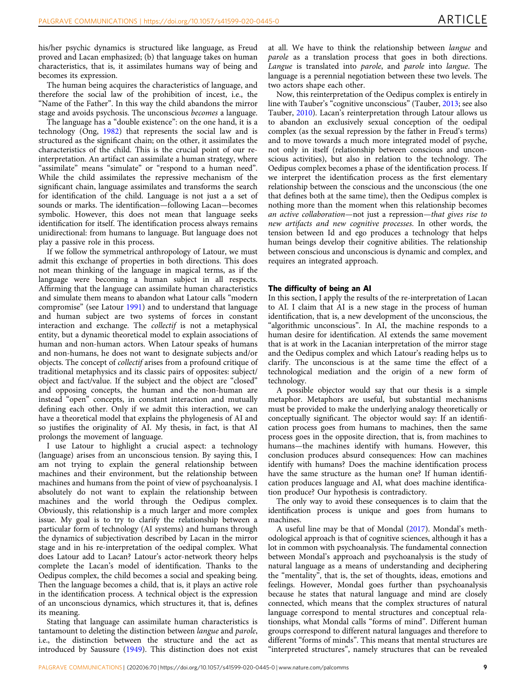his/her psychic dynamics is structured like language, as Freud proved and Lacan emphasized; (b) that language takes on human characteristics, that is, it assimilates humans way of being and becomes its expression.

The human being acquires the characteristics of language, and therefore the social law of the prohibition of incest, i.e., the "Name of the Father". In this way the child abandons the mirror stage and avoids psychosis. The unconscious becomes a language.

The language has a "double existence": on the one hand, it is a technology (Ong, [1982\)](#page-12-0) that represents the social law and is structured as the significant chain; on the other, it assimilates the characteristics of the child. This is the crucial point of our reinterpretation. An artifact can assimilate a human strategy, where "assimilate" means "simulate" or "respond to a human need". While the child assimilates the repressive mechanism of the significant chain, language assimilates and transforms the search for identification of the child. Language is not just a a set of sounds or marks. The identification—following Lacan—becomes symbolic. However, this does not mean that language seeks identification for itself. The identification process always remains unidirectional: from humans to language. But language does not play a passive role in this process.

If we follow the symmetrical anthropology of Latour, we must admit this exchange of properties in both directions. This does not mean thinking of the language in magical terms, as if the language were becoming a human subject in all respects. Affirming that the language can assimilate human characteristics and simulate them means to abandon what Latour calls "modern compromise" (see Latour [1991\)](#page-12-0) and to understand that language and human subject are two systems of forces in constant interaction and exchange. The collectif is not a metaphysical entity, but a dynamic theoretical model to explain associations of human and non-human actors. When Latour speaks of humans and non-humans, he does not want to designate subjects and/or objects. The concept of collectif arises from a profound critique of traditional metaphysics and its classic pairs of opposites: subject/ object and fact/value. If the subject and the object are "closed" and opposing concepts, the human and the non-human are instead "open" concepts, in constant interaction and mutually defining each other. Only if we admit this interaction, we can have a theoretical model that explains the phylogenesis of AI and so justifies the originality of AI. My thesis, in fact, is that AI prolongs the movement of language.

I use Latour to highlight a crucial aspect: a technology (language) arises from an unconscious tension. By saying this, I am not trying to explain the general relationship between machines and their environment, but the relationship between machines and humans from the point of view of psychoanalysis. I absolutely do not want to explain the relationship between machines and the world through the Oedipus complex. Obviously, this relationship is a much larger and more complex issue. My goal is to try to clarify the relationship between a particular form of technology (AI systems) and humans through the dynamics of subjectivation described by Lacan in the mirror stage and in his re-interpretation of the oedipal complex. What does Latour add to Lacan? Latour's actor-network theory helps complete the Lacan's model of identification. Thanks to the Oedipus complex, the child becomes a social and speaking being. Then the language becomes a child, that is, it plays an active role in the identification process. A technical object is the expression of an unconscious dynamics, which structures it, that is, defines its meaning.

Stating that language can assimilate human characteristics is tantamount to deleting the distinction between langue and parole, i.e., the distinction between the structure and the act as introduced by Saussure ([1949\)](#page-12-0). This distinction does not exist at all. We have to think the relationship between langue and parole as a translation process that goes in both directions. Langue is translated into parole, and parole into langue. The language is a perennial negotiation between these two levels. The two actors shape each other.

Now, this reinterpretation of the Oedipus complex is entirely in line with Tauber's "cognitive unconscious" (Tauber, [2013](#page-12-0); see also Tauber, [2010\)](#page-12-0). Lacan's reinterpretation through Latour allows us to abandon an exclusively sexual conception of the oedipal complex (as the sexual repression by the father in Freud's terms) and to move towards a much more integrated model of psyche, not only in itself (relationship between conscious and unconscious activities), but also in relation to the technology. The Oedipus complex becomes a phase of the identification process. If we interpret the identification process as the first elementary relationship between the conscious and the unconscious (the one that defines both at the same time), then the Oedipus complex is nothing more than the moment when this relationship becomes an active collaboration—not just a repression—that gives rise to new artifacts and new cognitive processes. In other words, the tension between Id and ego produces a technology that helps human beings develop their cognitive abilities. The relationship between conscious and unconscious is dynamic and complex, and requires an integrated approach.

# The difficulty of being an AI

In this section, I apply the results of the re-interpretation of Lacan to AI. I claim that AI is a new stage in the process of human identification, that is, a new development of the unconscious, the "algorithmic unconscious". In AI, the machine responds to a human desire for identification. AI extends the same movement that is at work in the Lacanian interpretation of the mirror stage and the Oedipus complex and which Latour's reading helps us to clarify. The unconscious is at the same time the effect of a technological mediation and the origin of a new form of technology.

A possible objector would say that our thesis is a simple metaphor. Metaphors are useful, but substantial mechanisms must be provided to make the underlying analogy theoretically or conceptually significant. The objector would say: If an identification process goes from humans to machines, then the same process goes in the opposite direction, that is, from machines to humans—the machines identify with humans. However, this conclusion produces absurd consequences: How can machines identify with humans? Does the machine identification process have the same structure as the human one? If human identification produces language and AI, what does machine identification produce? Our hypothesis is contradictory.

The only way to avoid these consequences is to claim that the identification process is unique and goes from humans to machines.

A useful line may be that of Mondal [\(2017](#page-12-0)). Mondal's methodological approach is that of cognitive sciences, although it has a lot in common with psychoanalysis. The fundamental connection between Mondal's approach and psychoanalysis is the study of natural language as a means of understanding and deciphering the "mentality", that is, the set of thoughts, ideas, emotions and feelings. However, Mondal goes further than psychoanalysis because he states that natural language and mind are closely connected, which means that the complex structures of natural language correspond to mental structures and conceptual relationships, what Mondal calls "forms of mind". Different human groups correspond to different natural languages and therefore to different "forms of minds". This means that mental structures are "interpreted structures", namely structures that can be revealed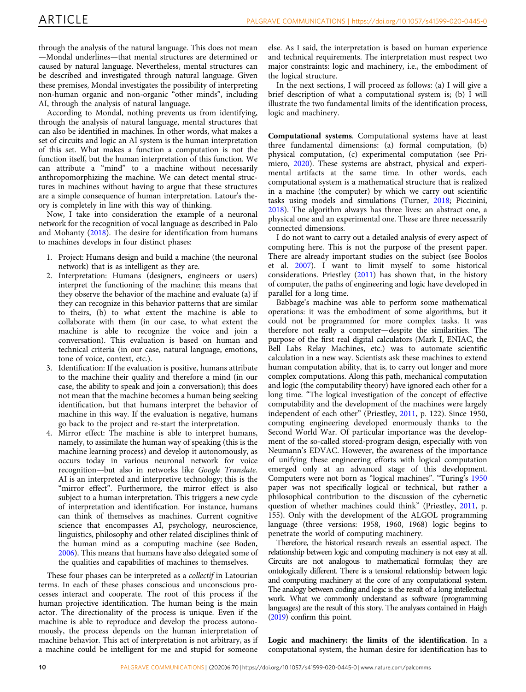through the analysis of the natural language. This does not mean —Mondal underlines—that mental structures are determined or caused by natural language. Nevertheless, mental structures can be described and investigated through natural language. Given these premises, Mondal investigates the possibility of interpreting non-human organic and non-organic "other minds", including AI, through the analysis of natural language.

According to Mondal, nothing prevents us from identifying, through the analysis of natural language, mental structures that can also be identified in machines. In other words, what makes a set of circuits and logic an AI system is the human interpretation of this set. What makes a function a computation is not the function itself, but the human interpretation of this function. We can attribute a "mind" to a machine without necessarily anthropomorphizing the machine. We can detect mental structures in machines without having to argue that these structures are a simple consequence of human interpretation. Latour's theory is completely in line with this way of thinking.

Now, I take into consideration the example of a neuronal network for the recognition of vocal language as described in Palo and Mohanty [\(2018](#page-12-0)). The desire for identification from humans to machines develops in four distinct phases:

- 1. Project: Humans design and build a machine (the neuronal network) that is as intelligent as they are.
- 2. Interpretation: Humans (designers, engineers or users) interpret the functioning of the machine; this means that they observe the behavior of the machine and evaluate (a) if they can recognize in this behavior patterns that are similar to theirs, (b) to what extent the machine is able to collaborate with them (in our case, to what extent the machine is able to recognize the voice and join a conversation). This evaluation is based on human and technical criteria (in our case, natural language, emotions, tone of voice, context, etc.).
- 3. Identification: If the evaluation is positive, humans attribute to the machine their quality and therefore a mind (in our case, the ability to speak and join a conversation); this does not mean that the machine becomes a human being seeking identification, but that humans interpret the behavior of machine in this way. If the evaluation is negative, humans go back to the project and re-start the interpretation.
- 4. Mirror effect: The machine is able to interpret humans, namely, to assimilate the human way of speaking (this is the machine learning process) and develop it autonomously, as occurs today in various neuronal network for voice recognition—but also in networks like Google Translate. AI is an interpreted and interpretive technology; this is the "mirror effect". Furthermore, the mirror effect is also subject to a human interpretation. This triggers a new cycle of interpretation and identification. For instance, humans can think of themselves as machines. Current cognitive science that encompasses AI, psychology, neuroscience, linguistics, philosophy and other related disciplines think of the human mind as a computing machine (see Boden, [2006](#page-11-0)). This means that humans have also delegated some of the qualities and capabilities of machines to themselves.

These four phases can be interpreted as a collectif in Latourian terms. In each of these phases conscious and unconscious processes interact and cooperate. The root of this process if the human projective identification. The human being is the main actor. The directionality of the process is unique. Even if the machine is able to reproduce and develop the process autonomously, the process depends on the human interpretation of machine behavior. This act of interpretation is not arbitrary, as if a machine could be intelligent for me and stupid for someone else. As I said, the interpretation is based on human experience and technical requirements. The interpretation must respect two major constraints: logic and machinery, i.e., the embodiment of the logical structure.

In the next sections, I will proceed as follows: (a) I will give a brief description of what a computational system is; (b) I will illustrate the two fundamental limits of the identification process, logic and machinery.

Computational systems. Computational systems have at least three fundamental dimensions: (a) formal computation, (b) physical computation, (c) experimental computation (see Primiero, [2020](#page-12-0)). These systems are abstract, physical and experimental artifacts at the same time. In other words, each computational system is a mathematical structure that is realized in a machine (the computer) by which we carry out scientific tasks using models and simulations (Turner, [2018;](#page-12-0) Piccinini, [2018\)](#page-12-0). The algorithm always has three lives: an abstract one, a physical one and an experimental one. These are three necessarily connected dimensions.

I do not want to carry out a detailed analysis of every aspect of computing here. This is not the purpose of the present paper. There are already important studies on the subject (see Boolos et al. [2007](#page-11-0)). I want to limit myself to some historical considerations. Priestley [\(2011\)](#page-12-0) has shown that, in the history of computer, the paths of engineering and logic have developed in parallel for a long time.

Babbage's machine was able to perform some mathematical operations: it was the embodiment of some algorithms, but it could not be programmed for more complex tasks. It was therefore not really a computer—despite the similarities. The purpose of the first real digital calculators (Mark I, ENIAC, the Bell Labs Relay Machines, etc.) was to automate scientific calculation in a new way. Scientists ask these machines to extend human computation ability, that is, to carry out longer and more complex computations. Along this path, mechanical computation and logic (the computability theory) have ignored each other for a long time. "The logical investigation of the concept of effective computability and the development of the machines were largely independent of each other" (Priestley, [2011,](#page-12-0) p. 122). Since 1950, computing engineering developed enormously thanks to the Second World War. Of particular importance was the development of the so-called stored-program design, especially with von Neumann's EDVAC. However, the awareness of the importance of unifying these engineering efforts with logical computation emerged only at an advanced stage of this development. Computers were not born as "logical machines". "Turing's [1950](#page-12-0) paper was not specifically logical or technical, but rather a philosophical contribution to the discussion of the cybernetic question of whether machines could think" (Priestley, [2011,](#page-12-0) p. 155). Only with the development of the ALGOL programming language (three versions: 1958, 1960, 1968) logic begins to penetrate the world of computing machinery.

Therefore, the historical research reveals an essential aspect. The relationship between logic and computing machinery is not easy at all. Circuits are not analogous to mathematical formulas; they are ontologically different. There is a tensional relationship between logic and computing machinery at the core of any computational system. The analogy between coding and logic is the result of a long intellectual work. What we commonly understand as software (programming languages) are the result of this story. The analyses contained in Haigh ([2019](#page-12-0)) confirm this point.

Logic and machinery: the limits of the identification. In a computational system, the human desire for identification has to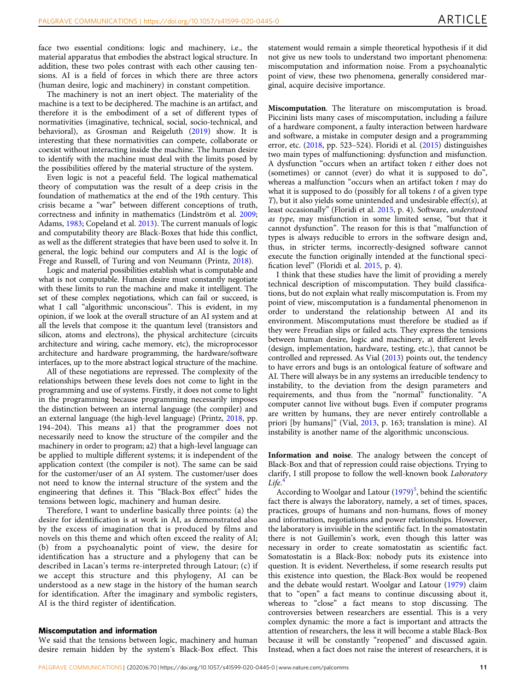face two essential conditions: logic and machinery, i.e., the material apparatus that embodies the abstract logical structure. In addition, these two poles contrast with each other causing tensions. AI is a field of forces in which there are three actors (human desire, logic and machinery) in constant competition.

The machinery is not an inert object. The materiality of the machine is a text to be deciphered. The machine is an artifact, and therefore it is the embodiment of a set of different types of normativities (imaginative, technical, social, socio-technical, and behavioral), as Grosman and Reigeluth ([2019](#page-12-0)) show. It is interesting that these normativities can compete, collaborate or coexist without interacting inside the machine. The human desire to identify with the machine must deal with the limits posed by the possibilities offered by the material structure of the system.

Even logic is not a peaceful field. The logical mathematical theory of computation was the result of a deep crisis in the foundation of mathematics at the end of the 19th century. This crisis became a "war" between different conceptions of truth, correctness and infinity in mathematics (Lindström et al. [2009;](#page-12-0) Adams, [1983;](#page-11-0) Copeland et al. [2013\)](#page-11-0). The current manuals of logic and computability theory are Black-Boxes that hide this conflict, as well as the different strategies that have been used to solve it. In general, the logic behind our computers and AI is the logic of Frege and Russell, of Turing and von Neumann (Printz, [2018\)](#page-12-0).

Logic and material possibilities establish what is computable and what is not computable. Human desire must constantly negotiate with these limits to run the machine and make it intelligent. The set of these complex negotiations, which can fail or succeed, is what I call "algorithmic unconscious". This is evident, in my opinion, if we look at the overall structure of an AI system and at all the levels that compose it: the quantum level (transistors and silicon, atoms and electrons), the physical architecture (circuits architecture and wiring, cache memory, etc), the microprocessor architecture and hardware programming, the hardware/software interfaces, up to the more abstract logical structure of the machine.

All of these negotiations are repressed. The complexity of the relationships between these levels does not come to light in the programming and use of systems. Firstly, it does not come to light in the programming because programming necessarily imposes the distinction between an internal language (the compiler) and an external language (the high-level language) (Printz, [2018](#page-12-0), pp. 194–204). This means a1) that the programmer does not necessarily need to know the structure of the compiler and the machinery in order to program; a2) that a high-level language can be applied to multiple different systems; it is independent of the application context (the compiler is not). The same can be said for the customer/user of an AI system. The customer/user does not need to know the internal structure of the system and the engineering that defines it. This "Black-Box effect" hides the tensions between logic, machinery and human desire.

Therefore, I want to underline basically three points: (a) the desire for identification is at work in AI, as demonstrated also by the excess of imagination that is produced by films and novels on this theme and which often exceed the reality of AI; (b) from a psychoanalytic point of view, the desire for identification has a structure and a phylogeny that can be described in Lacan's terms re-interpreted through Latour; (c) if we accept this structure and this phylogeny, AI can be understood as a new stage in the history of the human search for identification. After the imaginary and symbolic registers, AI is the third register of identification.

### Miscomputation and information

We said that the tensions between logic, machinery and human desire remain hidden by the system's Black-Box effect. This statement would remain a simple theoretical hypothesis if it did not give us new tools to understand two important phenomena: miscomputation and information noise. From a psychoanalytic point of view, these two phenomena, generally considered marginal, acquire decisive importance.

Miscomputation. The literature on miscomputation is broad. Piccinini lists many cases of miscomputation, including a failure of a hardware component, a faulty interaction between hardware and software, a mistake in computer design and a programming error, etc. ([2018,](#page-12-0) pp. 523–524). Floridi et al. [\(2015\)](#page-12-0) distinguishes two main types of malfunctioning: dysfunction and misfunction. A dysfunction "occurs when an artifact token t either does not (sometimes) or cannot (ever) do what it is supposed to do", whereas a malfunction "occurs when an artifact token  $t$  may do what it is supposed to do (possibly for all tokens  $t$  of a given type T), but it also yields some unintended and undesirable effect(s), at least occasionally" (Floridi et al. [2015](#page-12-0), p. 4). Software, understood as type, may misfunction in some limited sense, "but that it cannot dysfunction". The reason for this is that "malfunction of types is always reducible to errors in the software design and, thus, in stricter terms, incorrectly-designed software cannot execute the function originally intended at the functional specification level" (Floridi et al. [2015](#page-12-0), p. 4).

I think that these studies have the limit of providing a merely technical description of miscomputation. They build classifications, but do not explain what really miscomputation is. From my point of view, miscomputation is a fundamental phenomenon in order to understand the relationship between AI and its environment. Miscomputations must therefore be studied as if they were Freudian slips or failed acts. They express the tensions between human desire, logic and machinery, at different levels (design, implementation, hardware, testing, etc.), that cannot be controlled and repressed. As Vial ([2013\)](#page-12-0) points out, the tendency to have errors and bugs is an ontological feature of software and AI. There will always be in any systems an irreducible tendency to instability, to the deviation from the design parameters and requirements, and thus from the "normal" functionality. "A computer cannot live without bugs. Even if computer programs are written by humans, they are never entirely controllable a priori [by humans]" (Vial, [2013,](#page-12-0) p. 163; translation is mine). AI instability is another name of the algorithmic unconscious.

Information and noise. The analogy between the concept of Black-Box and that of repression could raise objections. Trying to clarify, I still propose to follow the well-known book Laboratory Life. [4](#page-11-0)

According to Woolgar and Latour ([1979\)](#page-12-0)<sup>[5](#page-11-0)</sup>, behind the scientific fact there is always the laboratory, namely, a set of times, spaces, practices, groups of humans and non-humans, flows of money and information, negotiations and power relationships. However, the laboratory is invisible in the scientific fact. In the somatostatin there is not Guillemin's work, even though this latter was necessary in order to create somatostatin as scientific fact. Somatostatin is a Black-Box: nobody puts its existence into question. It is evident. Nevertheless, if some research results put this existence into question, the Black-Box would be reopened and the debate would restart. Woolgar and Latour [\(1979](#page-12-0)) claim that to "open" a fact means to continue discussing about it, whereas to "close" a fact means to stop discussing. The controversies between researchers are essential. This is a very complex dynamic: the more a fact is important and attracts the attention of researchers, the less it will become a stable Black-Box because it will be constantly "reopened" and discussed again. Instead, when a fact does not raise the interest of researchers, it is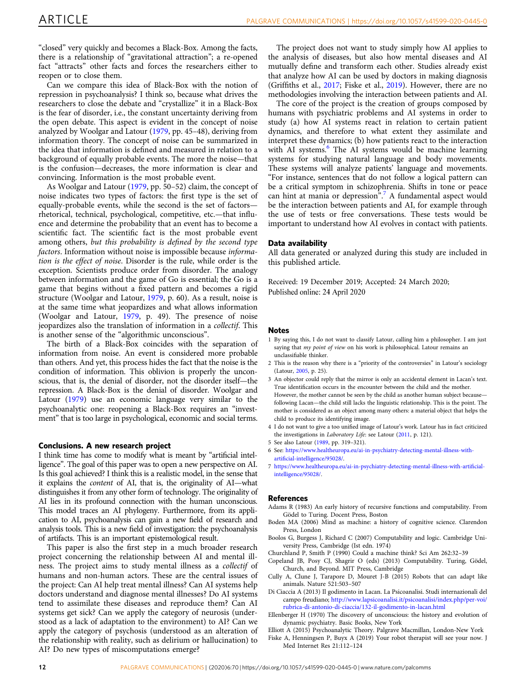<span id="page-11-0"></span>"closed" very quickly and becomes a Black-Box. Among the facts, there is a relationship of "gravitational attraction"; a re-opened fact "attracts" other facts and forces the researchers either to reopen or to close them.

Can we compare this idea of Black-Box with the notion of repression in psychoanalysis? I think so, because what drives the researchers to close the debate and "crystallize" it in a Black-Box is the fear of disorder, i.e., the constant uncertainty deriving from the open debate. This aspect is evident in the concept of noise analyzed by Woolgar and Latour [\(1979,](#page-12-0) pp. 45–48), deriving from information theory. The concept of noise can be summarized in the idea that information is defined and measured in relation to a background of equally probable events. The more the noise—that is the confusion—decreases, the more information is clear and convincing. Information is the most probable event.

As Woolgar and Latour ([1979,](#page-12-0) pp. 50–52) claim, the concept of noise indicates two types of factors: the first type is the set of equally-probable events, while the second is the set of factors rhetorical, technical, psychological, competitive, etc.—that influence and determine the probability that an event has to become a scientific fact. The scientific fact is the most probable event among others, but this probability is defined by the second type factors. Information without noise is impossible because information is the effect of noise. Disorder is the rule, while order is the exception. Scientists produce order from disorder. The analogy between information and the game of Go is essential; the Go is a game that begins without a fixed pattern and becomes a rigid structure (Woolgar and Latour, [1979,](#page-12-0) p. 60). As a result, noise is at the same time what jeopardizes and what allows information (Woolgar and Latour, [1979](#page-12-0), p. 49). The presence of noise jeopardizes also the translation of information in a collectif. This is another sense of the "algorithmic unconscious".

The birth of a Black-Box coincides with the separation of information from noise. An event is considered more probable than others. And yet, this process hides the fact that the noise is the condition of information. This oblivion is properly the unconscious, that is, the denial of disorder, not the disorder itself—the repression. A Black-Box is the denial of disorder. Woolgar and Latour ([1979\)](#page-12-0) use an economic language very similar to the psychoanalytic one: reopening a Black-Box requires an "investment" that is too large in psychological, economic and social terms.

#### Conclusions. A new research project

I think time has come to modify what is meant by "artificial intelligence". The goal of this paper was to open a new perspective on AI. Is this goal achieved? I think this is a realistic model, in the sense that it explains the content of AI, that is, the originality of AI—what distinguishes it from any other form of technology. The originality of AI lies in its profound connection with the human unconscious. This model traces an AI phylogeny. Furthermore, from its application to AI, psychoanalysis can gain a new field of research and analysis tools. This is a new field of investigation: the psychoanalysis of artifacts. This is an important epistemological result.

This paper is also the first step in a much broader research project concerning the relationship between AI and mental illness. The project aims to study mental illness as a collectif of humans and non-human actors. These are the central issues of the project: Can AI help treat mental illness? Can AI systems help doctors understand and diagnose mental illnesses? Do AI systems tend to assimilate these diseases and reproduce them? Can AI systems get sick? Can we apply the category of neurosis (understood as a lack of adaptation to the environment) to AI? Can we apply the category of psychosis (understood as an alteration of the relationship with reality, such as delirium or hallucination) to AI? Do new types of miscomputations emerge?

The project does not want to study simply how AI applies to the analysis of diseases, but also how mental diseases and AI mutually define and transform each other. Studies already exist that analyze how AI can be used by doctors in making diagnosis (Griffiths et al., [2017;](#page-12-0) Fiske et al., 2019). However, there are no methodologies involving the interaction between patients and AI.

The core of the project is the creation of groups composed by humans with psychiatric problems and AI systems in order to study (a) how AI systems react in relation to certain patient dynamics, and therefore to what extent they assimilate and interpret these dynamics; (b) how patients react to the interaction with AI systems.<sup>6</sup> The AI systems would be machine learning systems for studying natural language and body movements. These systems will analyze patients' language and movements. "For instance, sentences that do not follow a logical pattern can be a critical symptom in schizophrenia. Shifts in tone or peace can hint at mania or depression".<sup>7</sup> A fundamental aspect would be the interaction between patients and AI, for example through the use of tests or free conversations. These tests would be important to understand how AI evolves in contact with patients.

#### Data availability

All data generated or analyzed during this study are included in this published article.

Received: 19 December 2019; Accepted: 24 March 2020; Published online: 24 April 2020

#### Notes

- 1 By saying this, I do not want to classify Latour, calling him a philosopher. I am just saying that my point of view on his work is philosophical. Latour remains an unclassifiable thinker.
- 2 This is the reason why there is a "priority of the controversies" in Latour's sociology (Latour, [2005,](#page-12-0) p. 25).
- 3 An objector could reply that the mirror is only an accidental element in Lacan's text. True identification occurs in the encounter between the child and the mother. However, the mother cannot be seen by the child as another human subject becausefollowing Lacan—the child still lacks the linguistic relationship. This is the point. The mother is considered as an object among many others: a material object that helps the child to produce its identifying image.
- 4 I do not want to give a too unified image of Latour's work. Latour has in fact criticized the investigations in Laboratory Life: see Latour [\(2011](#page-12-0), p. 121).
- 5 See also Latour [\(1989,](#page-12-0) pp. 319–321).
- 6 See: [https://www.healtheuropa.eu/ai-in-psychiatry-detecting-mental-illness-with](https://www.healtheuropa.eu/ai-in-psychiatry-detecting-mental-illness-with-artificial-intelligence/95028/)artifi[cial-intelligence/95028/.](https://www.healtheuropa.eu/ai-in-psychiatry-detecting-mental-illness-with-artificial-intelligence/95028/)
- 7 [https://www.healtheuropa.eu/ai-in-psychiatry-detecting-mental-illness-with-arti](https://www.healtheuropa.eu/ai-in-psychiatry-detecting-mental-illness-with-artificial-intelligence/95028/)ficial[intelligence/95028/](https://www.healtheuropa.eu/ai-in-psychiatry-detecting-mental-illness-with-artificial-intelligence/95028/).

#### **References**

- Adams R (1983) An early history of recursive functions and computability. From Gödel to Turing. Docent Press, Boston
- Boden MA (2006) Mind as machine: a history of cognitive science. Clarendon Press, London
- Boolos G, Burgess J, Richard C (2007) Computability and logic. Cambridge University Press, Cambridge (Ist edn. 1974)
- Churchland P, Smith P (1990) Could a machine think? Sci Am 262:32–39
- Copeland JB, Posy CJ, Shagrir O (eds) (2013) Computability. Turing, Gödel, Church, and Beyond. MIT Press, Cambridge
- Cully A, Clune J, Tarapore D, Mouret J-B (2015) Robots that can adapt like animals. Nature 521:503–507
- Di Ciaccia A (2013) Il godimento in Lacan. La Psicoanalisi. Studi internazionali del campo freudiano; [http://www.lapsicoanalisi.it/psicoanalisi/index.php/per-voi/](http://www.lapsicoanalisi.it/psicoanalisi/index.php/per-voi/rubrica-di-antonio-di-ciaccia/132-il-godimento-in-lacan.html) [rubrica-di-antonio-di-ciaccia/132-il-godimento-in-lacan.html](http://www.lapsicoanalisi.it/psicoanalisi/index.php/per-voi/rubrica-di-antonio-di-ciaccia/132-il-godimento-in-lacan.html)
- Ellenberger H (1970) The discovery of unconscious: the history and evolution of dynamic psychiatry. Basic Books, New York
- Elliott A (2015) Psychoanalytic Theory. Palgrave Macmillan, London-New York
- Fiske A, Henningsen P, Buyx A (2019) Your robot therapist will see your now. J Med Internet Res 21:112–124